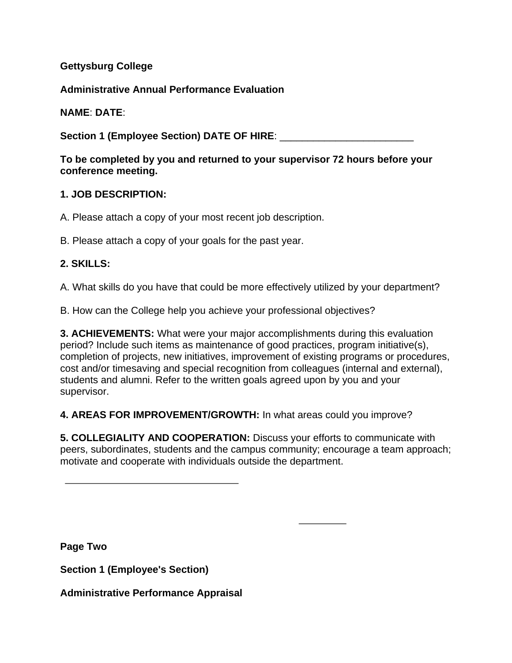## **Gettysburg College**

## **Administrative Annual Performance Evaluation**

**NAME**: **DATE**:

Section 1 (Employee Section) DATE OF HIRE:

**To be completed by you and returned to your supervisor 72 hours before your conference meeting.**

## **1. JOB DESCRIPTION:**

A. Please attach a copy of your most recent job description.

B. Please attach a copy of your goals for the past year.

# **2. SKILLS:**

A. What skills do you have that could be more effectively utilized by your department?

B. How can the College help you achieve your professional objectives?

**3. ACHIEVEMENTS:** What were your major accomplishments during this evaluation period? Include such items as maintenance of good practices, program initiative(s), completion of projects, new initiatives, improvement of existing programs or procedures, cost and/or timesaving and special recognition from colleagues (internal and external), students and alumni. Refer to the written goals agreed upon by you and your supervisor.

**4. AREAS FOR IMPROVEMENT/GROWTH:** In what areas could you improve?

**5. COLLEGIALITY AND COOPERATION:** Discuss your efforts to communicate with peers, subordinates, students and the campus community; encourage a team approach; motivate and cooperate with individuals outside the department.

**Page Two** 

**Section 1 (Employee's Section)** 

**Administrative Performance Appraisal**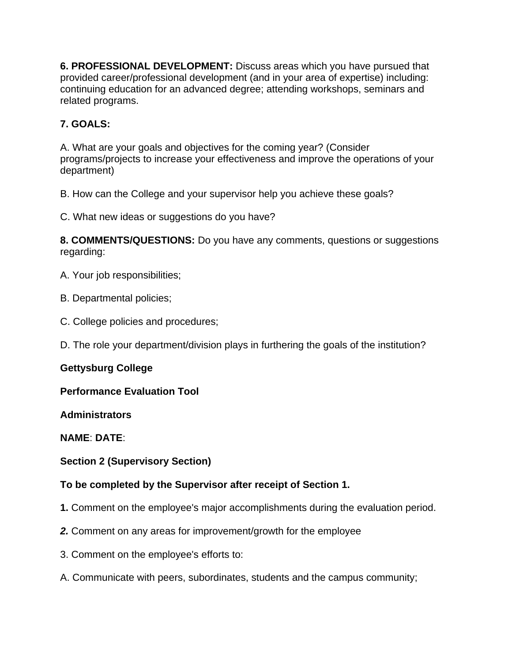**6. PROFESSIONAL DEVELOPMENT:** Discuss areas which you have pursued that provided career/professional development (and in your area of expertise) including: continuing education for an advanced degree; attending workshops, seminars and related programs.

# **7. GOALS:**

A. What are your goals and objectives for the coming year? (Consider programs/projects to increase your effectiveness and improve the operations of your department)

B. How can the College and your supervisor help you achieve these goals?

C. What new ideas or suggestions do you have?

**8. COMMENTS/QUESTIONS:** Do you have any comments, questions or suggestions regarding:

- A. Your job responsibilities;
- B. Departmental policies;
- C. College policies and procedures;

D. The role your department/division plays in furthering the goals of the institution?

## **Gettysburg College**

#### **Performance Evaluation Tool**

**Administrators** 

## **NAME**: **DATE**:

## **Section 2 (Supervisory Section)**

## **To be completed by the Supervisor after receipt of Section 1.**

- **1.** Comment on the employee's major accomplishments during the evaluation period.
- *2.* Comment on any areas for improvement/growth for the employee
- 3. Comment on the employee's efforts to:
- A. Communicate with peers, subordinates, students and the campus community;